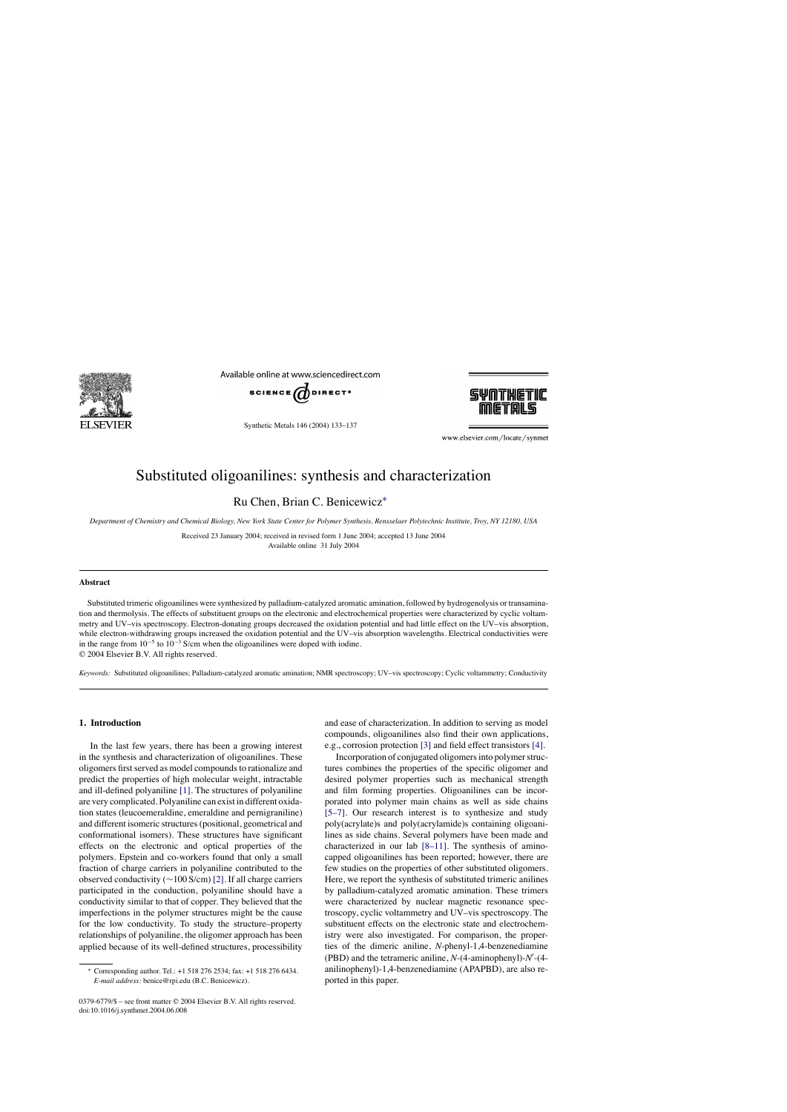

Available online at www.sciencedirect.com



Synthetic Metals 146 (2004) 133–137



www.elsevier.com/locate/synmet

# Substituted oligoanilines: synthesis and characterization

Ru Chen, Brian C. Benicewicz[∗](#page-0-0)

*Department of Chemistry and Chemical Biology, New York State Center for Polymer Synthesis, Rensselaer Polytechnic Institute, Troy, NY 12180, USA*

Received 23 January 2004; received in revised form 1 June 2004; accepted 13 June 2004 Available online 31 July 2004

#### **Abstract**

Substituted trimeric oligoanilines were synthesized by palladium-catalyzed aromatic amination, followed by hydrogenolysis or transamination and thermolysis. The effects of substituent groups on the electronic and electrochemical properties were characterized by cyclic voltammetry and UV–vis spectroscopy. Electron-donating groups decreased the oxidation potential and had little effect on the UV–vis absorption, while electron-withdrawing groups increased the oxidation potential and the UV–vis absorption wavelengths. Electrical conductivities were in the range from  $10^{-5}$  to  $10^{-3}$  S/cm when the oligoanilines were doped with iodine. © 2004 Elsevier B.V. All rights reserved.

*Keywords:* Substituted oligoanilines; Palladium-catalyzed aromatic amination; NMR spectroscopy; UV–vis spectroscopy; Cyclic voltammetry; Conductivity

# **1. Introduction**

In the last few years, there has been a growing interest in the synthesis and characterization of oligoanilines. These oligomers first served as model compounds to rationalize and predict the properties of high molecular weight, intractable and ill-defined polyaniline [\[1\]. T](#page-4-0)he structures of polyaniline are very complicated. Polyaniline can exist in different oxidation states (leucoemeraldine, emeraldine and pernigraniline) and different isomeric structures (positional, geometrical and conformational isomers). These structures have significant effects on the electronic and optical properties of the polymers. Epstein and co-workers found that only a small fraction of charge carriers in polyaniline contributed to the observed conductivity (∼100 S/cm) [\[2\]. I](#page-4-1)f all charge carriers participated in the conduction, polyaniline should have a conductivity similar to that of copper. They believed that the imperfections in the polymer structures might be the cause for the low conductivity. To study the structure–property relationships of polyaniline, the oligomer approach has been applied because of its well-defined structures, processibility

and ease of characterization. In addition to serving as model compounds, oligoanilines also find their own applications, e.g., corrosion protection [\[3\]](#page-4-2) and field effect transistors [\[4\].](#page-4-3)

Incorporation of conjugated oligomers into polymer structures combines the properties of the specific oligomer and desired polymer properties such as mechanical strength and film forming properties. Oligoanilines can be incorporated into polymer main chains as well as side chains [\[5–7\].](#page-4-4) Our research interest is to synthesize and study poly(acrylate)s and poly(acrylamide)s containing oligoanilines as side chains. Several polymers have been made and characterized in our lab [\[8–11\].](#page-4-5) The synthesis of aminocapped oligoanilines has been reported; however, there are few studies on the properties of other substituted oligomers. Here, we report the synthesis of substituted trimeric anilines by palladium-catalyzed aromatic amination. These trimers were characterized by nuclear magnetic resonance spectroscopy, cyclic voltammetry and UV–vis spectroscopy. The substituent effects on the electronic state and electrochemistry were also investigated. For comparison, the properties of the dimeric aniline, *N*-phenyl-1,4-benzenediamine  $(PBD)$  and the tetrameric aniline,  $N-(4)$ -aminophenyl $-N$ <sup>-</sup> anilinophenyl)-1,4-benzenediamine (APAPBD), are also reported in this paper.

<sup>∗</sup> Corresponding author. Tel.: +1 518 276 2534; fax: +1 518 276 6434. *E-mail address:* benice@rpi.edu (B.C. Benicewicz).

<span id="page-0-0"></span><sup>0379-6779/\$ –</sup> see front matter © 2004 Elsevier B.V. All rights reserved. doi:10.1016/j.synthmet.2004.06.008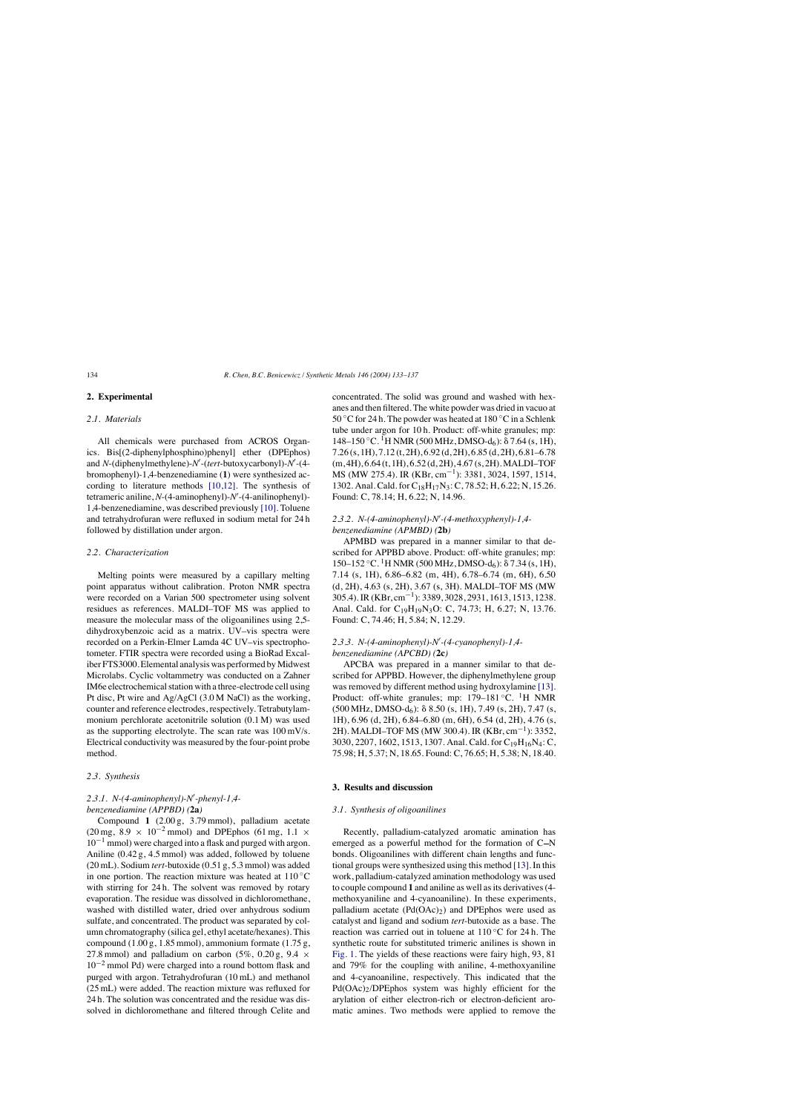# **2. Experimental**

#### *2.1. Materials*

All chemicals were purchased from ACROS Organics. Bis[(2-diphenylphosphino)phenyl] ether (DPEphos) and *N*-(diphenylmethylene)-*N'*-(*tert*-butoxycarbonyl)-*N'*-(4bromophenyl)-1,4-benzenediamine (**1**) were synthesized according to literature methods [\[10,12\].](#page-4-6) The synthesis of tetrameric aniline, *N*-(4-aminophenyl)-*N'*-(4-anilinophenyl)-1,4-benzenediamine, was described previously [\[10\]. T](#page-4-6)oluene and tetrahydrofuran were refluxed in sodium metal for 24 h followed by distillation under argon.

#### *2.2. Characterization*

Melting points were measured by a capillary melting point apparatus without calibration. Proton NMR spectra were recorded on a Varian 500 spectrometer using solvent residues as references. MALDI–TOF MS was applied to measure the molecular mass of the oligoanilines using 2,5 dihydroxybenzoic acid as a matrix. UV–vis spectra were recorded on a Perkin-Elmer Lamda 4C UV–vis spectrophotometer. FTIR spectra were recorded using a BioRad Excaliber FTS3000. Elemental analysis was performed by Midwest Microlabs. Cyclic voltammetry was conducted on a Zahner IM6e electrochemical station with a three-electrode cell using Pt disc, Pt wire and Ag/AgCl (3.0 M NaCl) as the working, counter and reference electrodes, respectively. Tetrabutylammonium perchlorate acetonitrile solution (0.1 M) was used as the supporting electrolyte. The scan rate was 100 mV/s. Electrical conductivity was measured by the four-point probe method.

#### *2.3. Synthesis*

# *2.3.1. N-(4-aminophenyl)-N*\$ *-phenyl-1,4 benzenediamine (APPBD) (***2a***)*

Compound **1** (2.00 g, 3.79 mmol), palladium acetate  $(20 \text{ mg}, 8.9 \times 10^{-2} \text{ mmol})$  and DPEphos  $(61 \text{ mg}, 1.1 \times$  $10^{-1}$  mmol) were charged into a flask and purged with argon. Aniline (0.42 g, 4.5 mmol) was added, followed by toluene (20 mL). Sodium *tert*-butoxide (0.51 g, 5.3 mmol) was added in one portion. The reaction mixture was heated at  $110\degree C$ with stirring for 24 h. The solvent was removed by rotary evaporation. The residue was dissolved in dichloromethane, washed with distilled water, dried over anhydrous sodium sulfate, and concentrated. The product was separated by column chromatography (silica gel, ethyl acetate/hexanes). This compound  $(1.00 \text{ g}, 1.85 \text{ mmol})$ , ammonium formate  $(1.75 \text{ g},$ 27.8 mmol) and palladium on carbon (5%, 0.20 g, 9.4  $\times$  $10^{-2}$  mmol Pd) were charged into a round bottom flask and purged with argon. Tetrahydrofuran (10 mL) and methanol (25 mL) were added. The reaction mixture was refluxed for 24 h. The solution was concentrated and the residue was dissolved in dichloromethane and filtered through Celite and

concentrated. The solid was ground and washed with hexanes and then filtered. The white powder was dried in vacuo at 50 °C for 24 h. The powder was heated at  $180$  °C in a Schlenk tube under argon for 10 h. Product: off-white granules; mp:  $148-150\degree C$ . <sup>1</sup>H NMR (500 MHz, DMSO-d<sub>6</sub>):  $\delta$  7.64 (s, 1H), 7.26 (s, 1H), 7.12 (t, 2H), 6.92 (d, 2H), 6.85 (d, 2H), 6.81–6.78  $(m, 4H), 6.64$  (t, 1H), 6.52 (d, 2H), 4.67 (s, 2H). MALDI–TOF MS (MW 275.4). IR (KBr, cm<sup>-1</sup>): 3381, 3024, 1597, 1514, 1302. Anal. Cald. for C18H17N3: C, 78.52; H, 6.22; N, 15.26. Found: C, 78.14; H, 6.22; N, 14.96.

## *2.3.2. N-(4-aminophenyl)-N*\$ *-(4-methoxyphenyl)-1,4 benzenediamine (APMBD) (***2b***)*

APMBD was prepared in a manner similar to that described for APPBD above. Product: off-white granules; mp:  $150-152 °C$ . <sup>1</sup>H NMR (500 MHz, DMSO-d<sub>6</sub>): δ 7.34 (s, 1H), 7.14 (s, 1H), 6.86–6.82 (m, 4H), 6.78–6.74 (m, 6H), 6.50 (d, 2H), 4.63 (s, 2H), 3.67 (s, 3H). MALDI–TOF MS (MW 305.4). IR (KBr, cm−1): 3389, 3028, 2931, 1613, 1513, 1238. Anal. Cald. for C<sub>19</sub>H<sub>19</sub>N<sub>3</sub>O: C, 74.73; H, 6.27; N, 13.76. Found: C, 74.46; H, 5.84; N, 12.29.

## *2.3.3. N-(4-aminophenyl)-N*\$ *-(4-cyanophenyl)-1,4 benzenediamine (APCBD) (***2c***)*

APCBA was prepared in a manner similar to that described for APPBD. However, the diphenylmethylene group was removed by different method using hydroxylamine [\[13\].](#page-4-7) Product: off-white granules; mp:  $179-181$  °C. <sup>1</sup>H NMR  $(500 \text{ MHz}, \text{DMSO-d}_6)$ :  $\delta$  8.50 (s, 1H), 7.49 (s, 2H), 7.47 (s, 1H), 6.96 (d, 2H), 6.84–6.80 (m, 6H), 6.54 (d, 2H), 4.76 (s, 2H). MALDI–TOF MS (MW 300.4). IR (KBr, cm−1): 3352, 3030, 2207, 1602, 1513, 1307. Anal. Cald. for C19H16N4: C, 75.98; H, 5.37; N, 18.65. Found: C, 76.65; H, 5.38; N, 18.40.

## **3. Results and discussion**

# *3.1. Synthesis of oligoanilines*

Recently, palladium-catalyzed aromatic amination has emerged as a powerful method for the formation of  $C-N$ bonds. Oligoanilines with different chain lengths and functional groups were synthesized using this method [\[13\]. I](#page-4-7)n this work, palladium-catalyzed amination methodology was used to couple compound **1** and aniline as well as its derivatives (4 methoxyaniline and 4-cyanoaniline). In these experiments, palladium acetate  $(Pd(OAc)_2)$  and DPEphos were used as catalyst and ligand and sodium *tert*-butoxide as a base. The reaction was carried out in toluene at 110 ◦C for 24 h. The synthetic route for substituted trimeric anilines is shown in [Fig. 1.](#page-2-0) The yields of these reactions were fairy high, 93, 81 and 79% for the coupling with aniline, 4-methoxyaniline and 4-cyanoaniline, respectively. This indicated that the Pd(OAc)<sub>2</sub>/DPEphos system was highly efficient for the arylation of either electron-rich or electron-deficient aromatic amines. Two methods were applied to remove the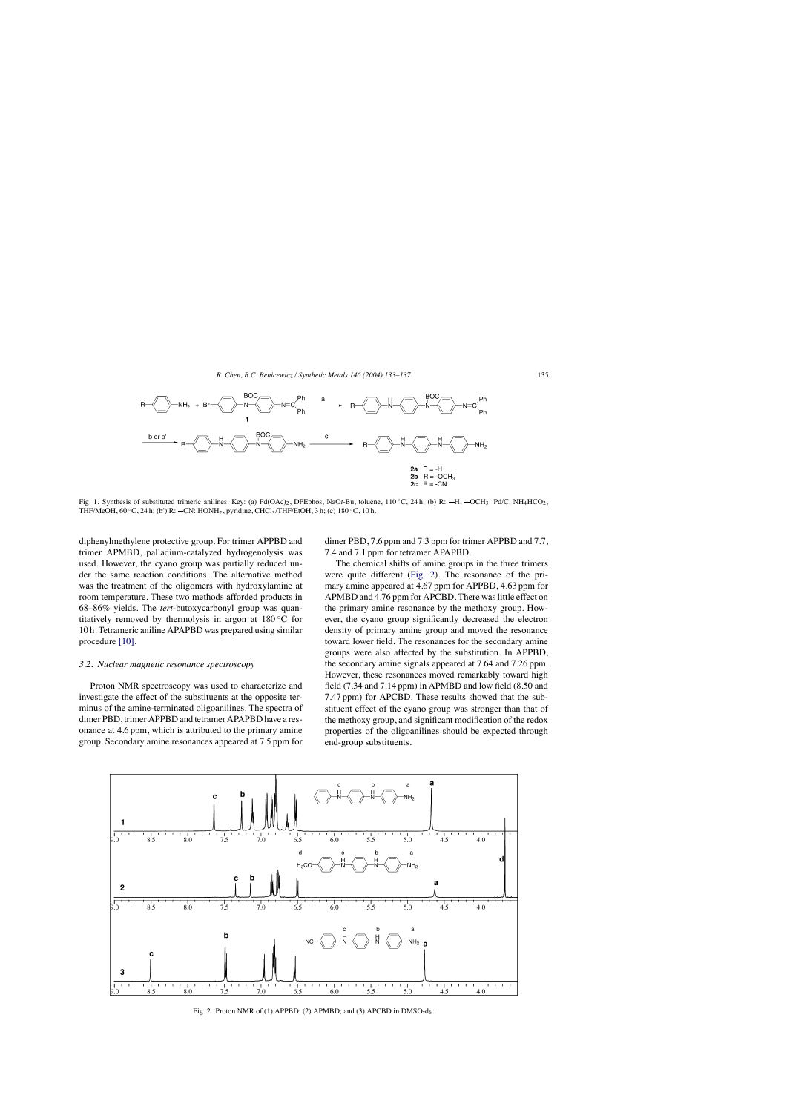<span id="page-2-0"></span>

Fig. 1. Synthesis of substituted trimeric anilines. Key: (a) Pd(OAc)<sub>2</sub>, DPEphos, NaOt-Bu, toluene, 110 ℃, 24 h; (b) R: ⊣H,  $\sim$ OCH<sub>3</sub>: Pd/C, NH<sub>4</sub>HCO<sub>2</sub>, THF/MeOH, 60 °C, 24 h; (b') R: —CN: HONH<sub>2</sub>, pyridine, CHCl<sub>3</sub>/THF/EtOH, 3 h; (c) 180 °C, 10 h.

diphenylmethylene protective group. For trimer APPBD and trimer APMBD, palladium-catalyzed hydrogenolysis was used. However, the cyano group was partially reduced under the same reaction conditions. The alternative method was the treatment of the oligomers with hydroxylamine at room temperature. These two methods afforded products in 68–86% yields. The *tert*-butoxycarbonyl group was quantitatively removed by thermolysis in argon at 180 ◦C for 10 h. Tetrameric aniline APAPBD was prepared using similar procedure [\[10\].](#page-4-6)

## *3.2. Nuclear magnetic resonance spectroscopy*

Proton NMR spectroscopy was used to characterize and investigate the effect of the substituents at the opposite terminus of the amine-terminated oligoanilines. The spectra of dimer PBD, trimer APPBD and tetramer APAPBD have a resonance at 4.6 ppm, which is attributed to the primary amine group. Secondary amine resonances appeared at 7.5 ppm for

dimer PBD, 7.6 ppm and 7.3 ppm for trimer APPBD and 7.7, 7.4 and 7.1 ppm for tetramer APAPBD.

The chemical shifts of amine groups in the three trimers were quite different ([Fig. 2\)](#page-2-1). The resonance of the primary amine appeared at 4.67 ppm for APPBD, 4.63 ppm for APMBD and 4.76 ppm for APCBD. There was little effect on the primary amine resonance by the methoxy group. However, the cyano group significantly decreased the electron density of primary amine group and moved the resonance toward lower field. The resonances for the secondary amine groups were also affected by the substitution. In APPBD, the secondary amine signals appeared at 7.64 and 7.26 ppm. However, these resonances moved remarkably toward high field (7.34 and 7.14 ppm) in APMBD and low field (8.50 and 7.47 ppm) for APCBD. These results showed that the substituent effect of the cyano group was stronger than that of the methoxy group, and significant modification of the redox properties of the oligoanilines should be expected through end-group substituents.

<span id="page-2-1"></span>

Fig. 2. Proton NMR of (1) APPBD; (2) APMBD; and (3) APCBD in DMSO-d6.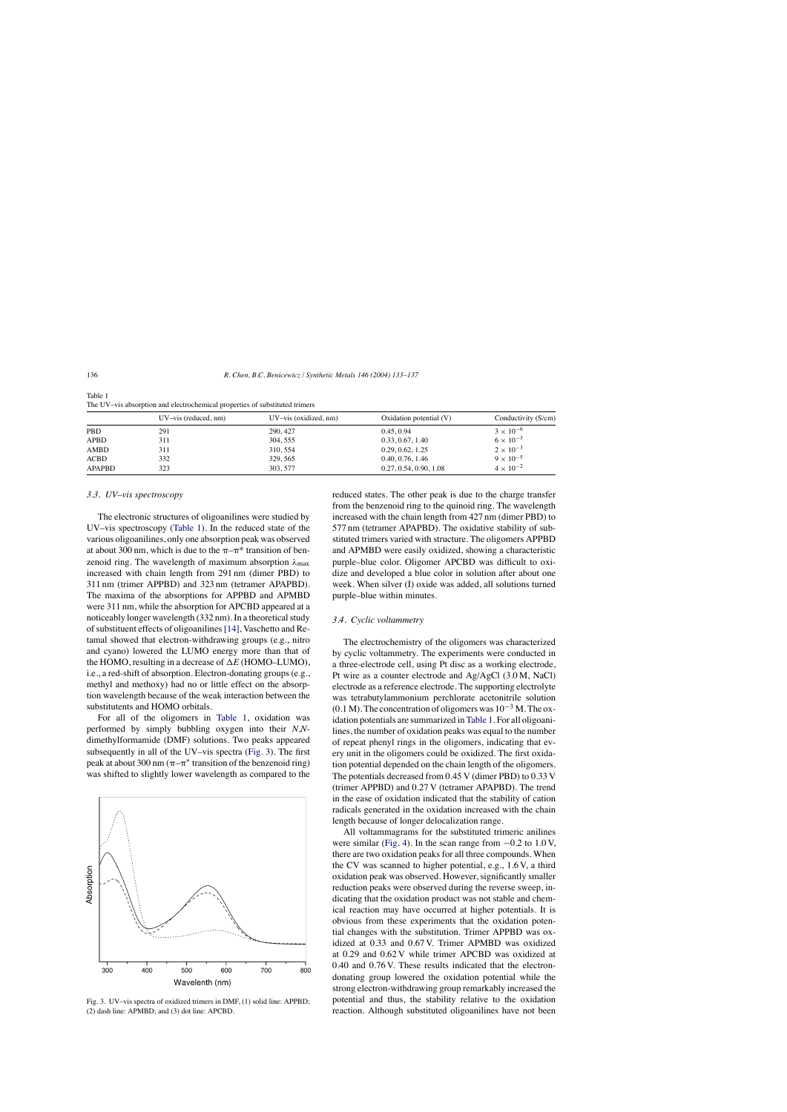|               | $UV - vis$ (reduced, nm) | $UV - vis$ (oxidized, nm) | Oxidation potential $(V)$ | Conductivity (S/cm) |
|---------------|--------------------------|---------------------------|---------------------------|---------------------|
| <b>PBD</b>    | 291                      | 290, 427                  | 0.45, 0.94                | $3 \times 10^{-6}$  |
| <b>APBD</b>   | 311                      | 304, 555                  | 0.33, 0.67, 1.40          | $6 \times 10^{-3}$  |
| AMBD          | 311                      | 310, 554                  | 0.29, 0.62, 1.25          | $2 \times 10^{-3}$  |
| <b>ACBD</b>   | 332                      | 329, 565                  | 0.40, 0.76, 1.46          | $9 \times 10^{-5}$  |
| <b>APAPBD</b> | 323                      | 303.577                   | 0.27, 0.54, 0.90, 1.08    | $4 \times 10^{-2}$  |

<span id="page-3-0"></span>Table 1 The UV–vis absorption and electrochemical properties of substituted trimers

#### *3.3. UV–vis spectroscopy*

The electronic structures of oligoanilines were studied by UV–vis spectroscopy ([Table 1\).](#page-3-0) In the reduced state of the various oligoanilines, only one absorption peak was observed at about 300 nm, which is due to the  $\pi-\pi^*$  transition of benzenoid ring. The wavelength of maximum absorption  $\lambda_{\text{max}}$ increased with chain length from 291 nm (dimer PBD) to 311 nm (trimer APPBD) and 323 nm (tetramer APAPBD). The maxima of the absorptions for APPBD and APMBD were 311 nm, while the absorption for APCBD appeared at a noticeably longer wavelength (332 nm). In a theoretical study of substituent effects of oligoanilines[\[14\], V](#page-4-8)aschetto and Retamal showed that electron-withdrawing groups (e.g., nitro and cyano) lowered the LUMO energy more than that of the HOMO, resulting in a decrease of  $\Delta E$  (HOMO–LUMO), i.e., a red-shift of absorption. Electron-donating groups (e.g., methyl and methoxy) had no or little effect on the absorption wavelength because of the weak interaction between the substitutents and HOMO orbitals.

For all of the oligomers in [Table 1,](#page-3-0) oxidation was performed by simply bubbling oxygen into their *N*,*N*dimethylformamide (DMF) solutions. Two peaks appeared subsequently in all of the UV–vis spectra ([Fig. 3\).](#page-3-1) The first peak at about 300 nm ( $\pi-\pi^*$  transition of the benzenoid ring) was shifted to slightly lower wavelength as compared to the

<span id="page-3-1"></span>

Fig. 3. UV–vis spectra of oxidized trimers in DMF, (1) solid line: APPBD; (2) dash line: APMBD; and (3) dot line: APCBD.

reduced states. The other peak is due to the charge transfer from the benzenoid ring to the quinoid ring. The wavelength increased with the chain length from 427 nm (dimer PBD) to 577 nm (tetramer APAPBD). The oxidative stability of substituted trimers varied with structure. The oligomers APPBD and APMBD were easily oxidized, showing a characteristic purple–blue color. Oligomer APCBD was difficult to oxidize and developed a blue color in solution after about one week. When silver (I) oxide was added, all solutions turned purple–blue within minutes.

#### *3.4. Cyclic voltammetry*

The electrochemistry of the oligomers was characterized by cyclic voltammetry. The experiments were conducted in a three-electrode cell, using Pt disc as a working electrode, Pt wire as a counter electrode and Ag/AgCl (3.0 M, NaCl) electrode as a reference electrode. The supporting electrolyte was tetrabutylammonium perchlorate acetonitrile solution  $(0.1 M)$ . The concentration of oligomers was  $10^{-3} M$ . The oxidation potentials are summarized in [Table 1. F](#page-3-0)or all oligoanilines, the number of oxidation peaks was equal to the number of repeat phenyl rings in the oligomers, indicating that every unit in the oligomers could be oxidized. The first oxidation potential depended on the chain length of the oligomers. The potentials decreased from 0.45 V (dimer PBD) to 0.33 V (trimer APPBD) and 0.27 V (tetramer APAPBD). The trend in the ease of oxidation indicated that the stability of cation radicals generated in the oxidation increased with the chain length because of longer delocalization range.

All voltammagrams for the substituted trimeric anilines were similar ([Fig. 4\).](#page-4-9) In the scan range from  $-0.2$  to 1.0 V, there are two oxidation peaks for all three compounds. When the CV was scanned to higher potential, e.g., 1.6 V, a third oxidation peak was observed. However, significantly smaller reduction peaks were observed during the reverse sweep, indicating that the oxidation product was not stable and chemical reaction may have occurred at higher potentials. It is obvious from these experiments that the oxidation potential changes with the substitution. Trimer APPBD was oxidized at 0.33 and 0.67 V. Trimer APMBD was oxidized at 0.29 and 0.62 V while trimer APCBD was oxidized at 0.40 and 0.76 V. These results indicated that the electrondonating group lowered the oxidation potential while the strong electron-withdrawing group remarkably increased the potential and thus, the stability relative to the oxidation reaction. Although substituted oligoanilines have not been